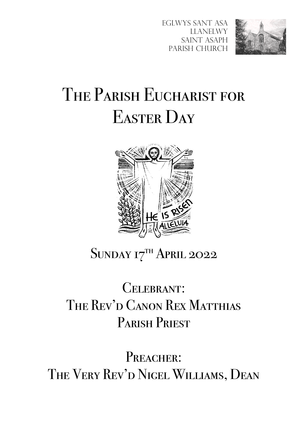Eglwys Sant Asa Llanelwy SAINT ASAPH Parish Church



# THE PARISH EUCHARIST FOR EASTER DAY



## SUNDAY 17TH APRIL 2022

# CELEBRANT: THE REV'D CANON REX MATTHIAS PARISH PRIEST

PREACHER: The Very Rev 'd Nigel Williams, Dean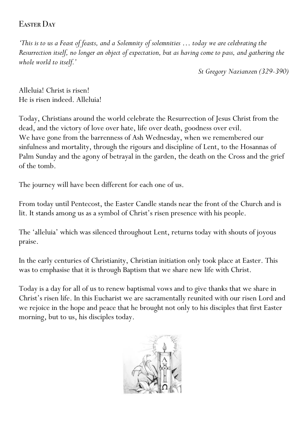### Easter Day

*'This is to us a Feast of feasts, and a Solemnity of solemnities … today we are celebrating the Resurrection itself, no longer an object of expectation, but as having come to pass, and gathering the whole world to itself.'*

*St Gregory Nazianzen (329-390)*

Alleluia! Christ is risen! He is risen indeed. Alleluia!

Today, Christians around the world celebrate the Resurrection of Jesus Christ from the dead, and the victory of love over hate, life over death, goodness over evil. We have gone from the barrenness of Ash Wednesday, when we remembered our sinfulness and mortality, through the rigours and discipline of Lent, to the Hosannas of Palm Sunday and the agony of betrayal in the garden, the death on the Cross and the grief of the tomb.

The journey will have been different for each one of us.

From today until Pentecost, the Easter Candle stands near the front of the Church and is lit. It stands among us as a symbol of Christ's risen presence with his people.

The 'alleluia' which was silenced throughout Lent, returns today with shouts of joyous praise.

In the early centuries of Christianity, Christian initiation only took place at Easter. This was to emphasise that it is through Baptism that we share new life with Christ.

Today is a day for all of us to renew baptismal vows and to give thanks that we share in Christ's risen life. In this Eucharist we are sacramentally reunited with our risen Lord and we rejoice in the hope and peace that he brought not only to his disciples that first Easter morning, but to us, his disciples today.

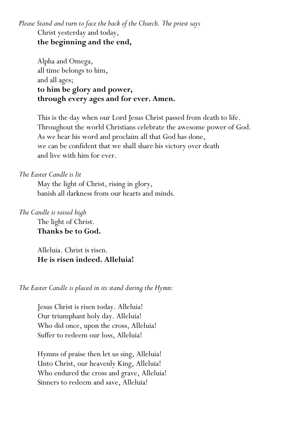*Please Stand and turn to face the back of the Church. The priest says* Christ yesterday and today, **the beginning and the end,**

Alpha and Omega, all time belongs to him, and all ages; **to him be glory and power, through every ages and for ever. Amen.**

This is the day when our Lord Jesus Christ passed from death to life. Throughout the world Christians celebrate the awesome power of God. As we hear his word and proclaim all that God has done, we can be confident that we shall share his victory over death and live with him for ever.

#### *The Easter Candle is lit*

May the light of Christ, rising in glory, banish all darkness from our hearts and minds.

*The Candle is raised high*

The light of Christ. **Thanks be to God.**

Alleluia. Christ is risen. **He is risen indeed. Alleluia!**

*The Easter Candle is placed in its stand during the Hymn:*

Jesus Christ is risen today. Alleluia! Our triumphant holy day. Alleluia! Who did once, upon the cross, Alleluia! Suffer to redeem our loss, Alleluia!

Hymns of praise then let us sing, Alleluia! Unto Christ, our heavenly King, Alleluia! Who endured the cross and grave, Alleluia! Sinners to redeem and save, Alleluia!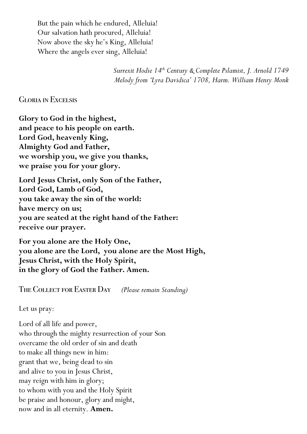But the pain which he endured, Alleluia! Our salvation hath procured, Alleluia! Now above the sky he's King, Alleluia! Where the angels ever sing, Alleluia!

> *Surrexit Hodie 14th Century & Complete Pslamist, J. Arnold 1749 Melody from 'Lyra Davidica' 1708, Harm. William Henry Monk*

Gloria in Excelsis

**Glory to God in the highest, and peace to his people on earth. Lord God, heavenly King, Almighty God and Father, we worship you, we give you thanks, we praise you for your glory.**

**Lord Jesus Christ, only Son of the Father, Lord God, Lamb of God, you take away the sin of the world: have mercy on us; you are seated at the right hand of the Father: receive our prayer.**

**For you alone are the Holy One, you alone are the Lord, you alone are the Most High, Jesus Christ, with the Holy Spirit, in the glory of God the Father. Amen.**

The Collect for Easter Day *(Please remain Standing)*

Let us pray:

Lord of all life and power, who through the mighty resurrection of your Son overcame the old order of sin and death to make all things new in him: grant that we, being dead to sin and alive to you in Jesus Christ, may reign with him in glory; to whom with you and the Holy Spirit be praise and honour, glory and might, now and in all eternity. **Amen.**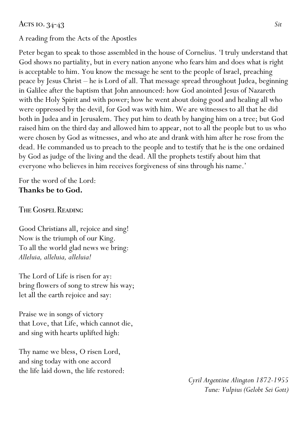#### Acts 10. 34-43 *Sit*

#### A reading from the Acts of the Apostles

Peter began to speak to those assembled in the house of Cornelius. 'I truly understand that God shows no partiality, but in every nation anyone who fears him and does what is right is acceptable to him. You know the message he sent to the people of Israel, preaching peace by Jesus Christ – he is Lord of all. That message spread throughout Judea, beginning in Galilee after the baptism that John announced: how God anointed Jesus of Nazareth with the Holy Spirit and with power; how he went about doing good and healing all who were oppressed by the devil, for God was with him. We are witnesses to all that he did both in Judea and in Jerusalem. They put him to death by hanging him on a tree; but God raised him on the third day and allowed him to appear, not to all the people but to us who were chosen by God as witnesses, and who ate and drank with him after he rose from the dead. He commanded us to preach to the people and to testify that he is the one ordained by God as judge of the living and the dead. All the prophets testify about him that everyone who believes in him receives forgiveness of sins through his name.'

For the word of the Lord: **Thanks be to God.**

The Gospel Reading

Good Christians all, rejoice and sing! Now is the triumph of our King. To all the world glad news we bring: *Alleluia, alleluia, alleluia!*

The Lord of Life is risen for ay: bring flowers of song to strew his way; let all the earth rejoice and say:

Praise we in songs of victory that Love, that Life, which cannot die, and sing with hearts uplifted high:

Thy name we bless, O risen Lord, and sing today with one accord the life laid down, the life restored:

> *Cyril Argentine Alington 1872-1955 Tune: Vulpius (Gelobt Sei Gott)*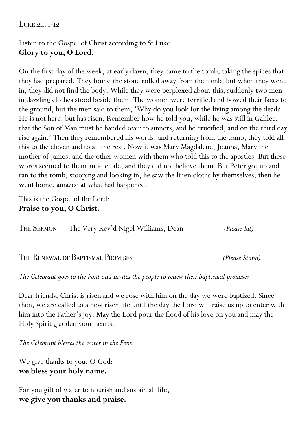#### Luke 24. 1-12

### Listen to the Gospel of Christ according to St Luke. **Glory to you, O Lord.**

On the first day of the week, at early dawn, they came to the tomb, taking the spices that they had prepared. They found the stone rolled away from the tomb, but when they went in, they did not find the body. While they were perplexed about this, suddenly two men in dazzling clothes stood beside them. The women were terrified and bowed their faces to the ground, but the men said to them, 'Why do you look for the living among the dead? He is not here, but has risen. Remember how he told you, while he was still in Galilee, that the Son of Man must be handed over to sinners, and be crucified, and on the third day rise again.' Then they remembered his words, and returning from the tomb, they told all this to the eleven and to all the rest. Now it was Mary Magdalene, Joanna, Mary the mother of James, and the other women with them who told this to the apostles. But these words seemed to them an idle tale, and they did not believe them. But Peter got up and ran to the tomb; stooping and looking in, he saw the linen cloths by themselves; then he went home, amazed at what had happened.

This is the Gospel of the Lord: **Praise to you, O Christ.**

| <b>THE SERMON</b> | The Very Rev'd Nigel Williams, Dean | (Please Sit) |
|-------------------|-------------------------------------|--------------|
|-------------------|-------------------------------------|--------------|

The Renewal of Baptismal Promises *(Please Stand)*

*The Celebrant goes to the Font and invites the people to renew their baptismal promises*

Dear friends, Christ is risen and we rose with him on the day we were baptized. Since then, we are called to a new risen life until the day the Lord will raise us up to enter with him into the Father's joy. May the Lord pour the flood of his love on you and may the Holy Spirit gladden your hearts.

*The Celebrant blesses the water in the Font*

We give thanks to you, O God: **we bless your holy name.**

For you gift of water to nourish and sustain all life, **we give you thanks and praise.**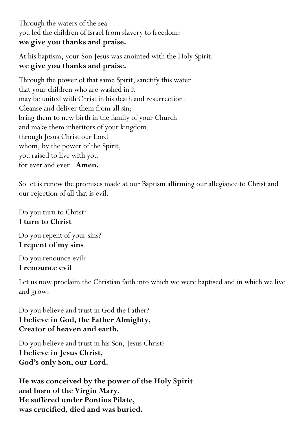Through the waters of the sea you led the children of Israel from slavery to freedom: **we give you thanks and praise.**

At his baptism, your Son Jesus was anointed with the Holy Spirit: **we give you thanks and praise.**

Through the power of that same Spirit, sanctify this water that your children who are washed in it may be united with Christ in his death and resurrection. Cleanse and deliver them from all sin; bring them to new birth in the family of your Church and make them inheritors of your kingdom: through Jesus Christ our Lord whom, by the power of the Spirit, you raised to live with you for ever and ever. **Amen.**

So let is renew the promises made at our Baptism affirming our allegiance to Christ and our rejection of all that is evil.

Do you turn to Christ? **I turn to Christ**

Do you repent of your sins? **I repent of my sins**

Do you renounce evil? **I renounce evil**

Let us now proclaim the Christian faith into which we were baptised and in which we live and grow:

Do you believe and trust in God the Father? **I believe in God, the Father Almighty, Creator of heaven and earth.**

Do you believe and trust in his Son, Jesus Christ? **I believe in Jesus Christ, God's only Son, our Lord.**

**He was conceived by the power of the Holy Spirit and born of the Virgin Mary. He suffered under Pontius Pilate, was crucified, died and was buried.**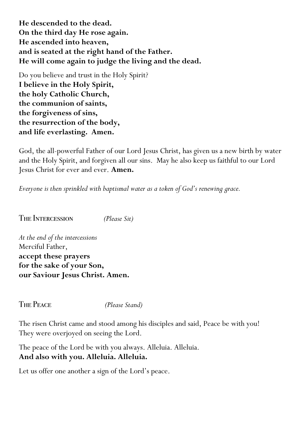**He descended to the dead. On the third day He rose again. He ascended into heaven, and is seated at the right hand of the Father. He will come again to judge the living and the dead.**

Do you believe and trust in the Holy Spirit? **I believe in the Holy Spirit, the holy Catholic Church, the communion of saints, the forgiveness of sins, the resurrection of the body, and life everlasting. Amen.**

God, the all-powerful Father of our Lord Jesus Christ, has given us a new birth by water and the Holy Spirit, and forgiven all our sins. May he also keep us faithful to our Lord Jesus Christ for ever and ever. **Amen.**

*Everyone is then sprinkled with baptismal water as a token of God's renewing grace.*

THE INTERCESSION *(Please Sit)* 

*At the end of the intercessions* Merciful Father, **accept these prayers for the sake of your Son, our Saviour Jesus Christ. Amen.**

The Peace *(Please Stand)*

The risen Christ came and stood among his disciples and said, Peace be with you! They were overjoyed on seeing the Lord.

The peace of the Lord be with you always. Alleluia. Alleluia. **And also with you. Alleluia. Alleluia.**

Let us offer one another a sign of the Lord's peace.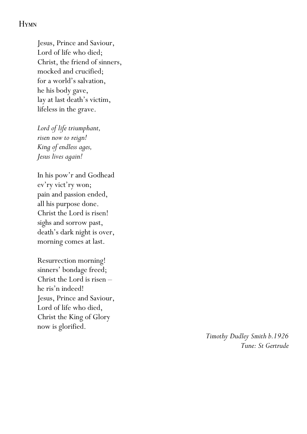#### **HYMN**

Jesus, Prince and Saviour, Lord of life who died; Christ, the friend of sinners, mocked and crucified; for a world's salvation, he his body gave, lay at last death's victim, lifeless in the grave.

*Lord of life triumphant, risen now to reign! King of endless ages, Jesus lives again!*

In his pow'r and Godhead ev'ry vict'ry won; pain and passion ended, all his purpose done. Christ the Lord is risen! sighs and sorrow past, death's dark night is over, morning comes at last.

Resurrection morning! sinners' bondage freed; Christ the Lord is risen – he ris'n indeed! Jesus, Prince and Saviour, Lord of life who died, Christ the King of Glory now is glorified.

> *Timothy Dudley Smith b.1926 Tune: St Gertrude*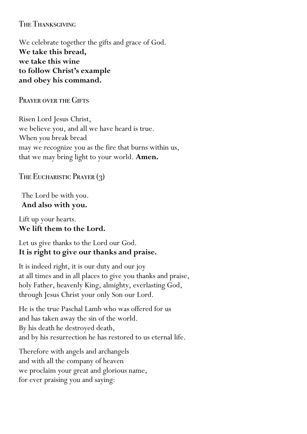The Thanksgiving

We celebrate together the gifts and grace of God. **We take this bread, we take this wine to follow Christ's example and obey his command.**

PRAYER OVER THE GIFTS

Risen Lord Jesus Christ, we believe you, and all we have heard is true. When you break bread may we recognize you as the fire that burns within us, that we may bring light to your world. **Amen.**

The Eucharistic Prayer (3)

The Lord be with you. **And also with you.**

Lift up your hearts. **We lift them to the Lord.**

Let us give thanks to the Lord our God. **It is right to give our thanks and praise.**

It is indeed right, it is our duty and our joy at all times and in all places to give you thanks and praise, holy Father, heavenly King, almighty, everlasting God, through Jesus Christ your only Son our Lord.

He is the true Paschal Lamb who was offered for us and has taken away the sin of the world. By his death he destroyed death, and by his resurrection he has restored to us eternal life.

Therefore with angels and archangels and with all the company of heaven we proclaim your great and glorious name, for ever praising you and saying: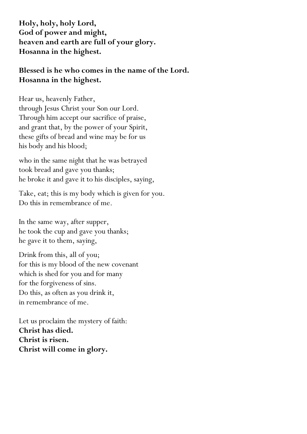**Holy, holy, holy Lord, God of power and might, heaven and earth are full of your glory. Hosanna in the highest.**

#### **Blessed is he who comes in the name of the Lord. Hosanna in the highest.**

Hear us, heavenly Father, through Jesus Christ your Son our Lord. Through him accept our sacrifice of praise, and grant that, by the power of your Spirit, these gifts of bread and wine may be for us his body and his blood;

who in the same night that he was betrayed took bread and gave you thanks; he broke it and gave it to his disciples, saying,

Take, eat; this is my body which is given for you. Do this in remembrance of me.

In the same way, after supper, he took the cup and gave you thanks; he gave it to them, saying,

Drink from this, all of you; for this is my blood of the new covenant which is shed for you and for many for the forgiveness of sins. Do this, as often as you drink it, in remembrance of me.

Let us proclaim the mystery of faith: **Christ has died. Christ is risen. Christ will come in glory.**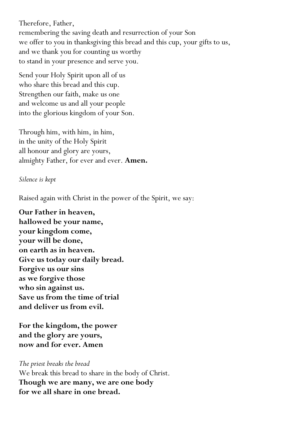Therefore, Father, remembering the saving death and resurrection of your Son we offer to you in thanksgiving this bread and this cup, your gifts to us, and we thank you for counting us worthy to stand in your presence and serve you.

Send your Holy Spirit upon all of us who share this bread and this cup. Strengthen our faith, make us one and welcome us and all your people into the glorious kingdom of your Son.

Through him, with him, in him, in the unity of the Holy Spirit all honour and glory are yours, almighty Father, for ever and ever. **Amen.**

#### *Silence is kept*

Raised again with Christ in the power of the Spirit, we say:

**Our Father in heaven, hallowed be your name, your kingdom come, your will be done, on earth as in heaven. Give us today our daily bread. Forgive us our sins as we forgive those who sin against us. Save us from the time of trial and deliver us from evil.**

**For the kingdom, the power and the glory are yours, now and for ever. Amen**

*The priest breaks the bread* We break this bread to share in the body of Christ. **Though we are many, we are one body for we all share in one bread.**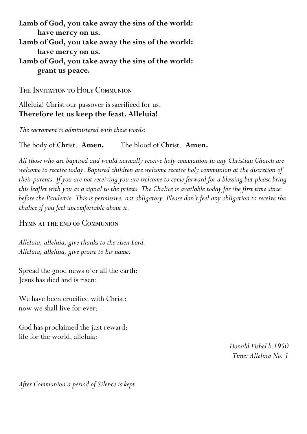**Lamb of God, you take away the sins of the world: have mercy on us. Lamb of God, you take away the sins of the world: have mercy on us. Lamb of God, you take away the sins of the world: grant us peace.**

The Invitation to Holy Communion

Alleluia! Christ our passover is sacrificed for us. **Therefore let us keep the feast. Alleluia!**

*The sacrament is administered with these words:*

The body of Christ. **Amen.** The blood of Christ. **Amen.**

*All those who are baptised and would normally receive holy communion in any Christian Church are welcome to receive today. Baptised children are welcome receive holy communion at the discretion of their parents. If you are not receiving you are welcome to come forward for a blessing but please bring this leaflet with you as a signal to the priests. The Chalice is available today for the first time since before the Pandemic. This is permissive, not obligatory. Please don't feel any obligation to receive the chalice if you feel uncomfortable about it.*

Hymn at the end of Communion

*Alleluia, alleluia, give thanks to the risen Lord. Alleluia, alleluia, give praise to his name.*

Spread the good news o'er all the earth: Jesus has died and is risen:

We have been crucified with Christ: now we shall live for ever:

God has proclaimed the just reward: life for the world, alleluia:

> *Donald Fishel b.1950 Tune: Alleluia No. 1*

*After Communion a period of Silence is kept*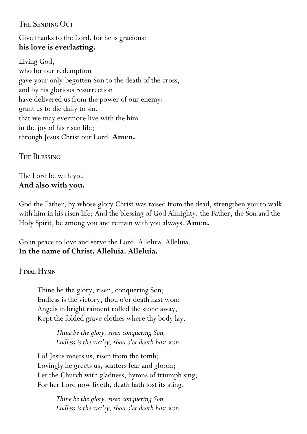#### The Sending Out

Give thanks to the Lord, for he is gracious: **his love is everlasting.**

Living God, who for our redemption gave your only-begotten Son to the death of the cross, and by his glorious resurrection have delivered us from the power of our enemy: grant us to die daily to sin, that we may evermore live with the him in the joy of his risen life; through Jesus Christ our Lord. **Amen.**

**THE BLESSING** 

The Lord be with you. **And also with you.**

God the Father, by whose glory Christ was raised from the dead, strengthen you to walk with him in his risen life; And the blessing of God Almighty, the Father, the Son and the Holy Spirit, be among you and remain with you always. **Amen.**

Go in peace to love and serve the Lord. Alleluia. Alleluia. **In the name of Christ. Alleluia. Alleluia.**

Final Hymn

Thine be the glory, risen, conquering Son; Endless is the victory, thou o'er death hast won; Angels in bright raiment rolled the stone away, Kept the folded grave clothes where thy body lay.

> *Thine be the glory, risen conquering Son, Endless is the vict'ry, thou o'er death hast won.*

Lo! Jesus meets us, risen from the tomb; Lovingly he greets us, scatters fear and gloom; Let the Church with gladness, hymns of triumph sing; For her Lord now liveth, death hath lost its sting.

> *Thine be the glory, risen conquering Son, Endless is the vict'ry, thou o'er death hast won.*